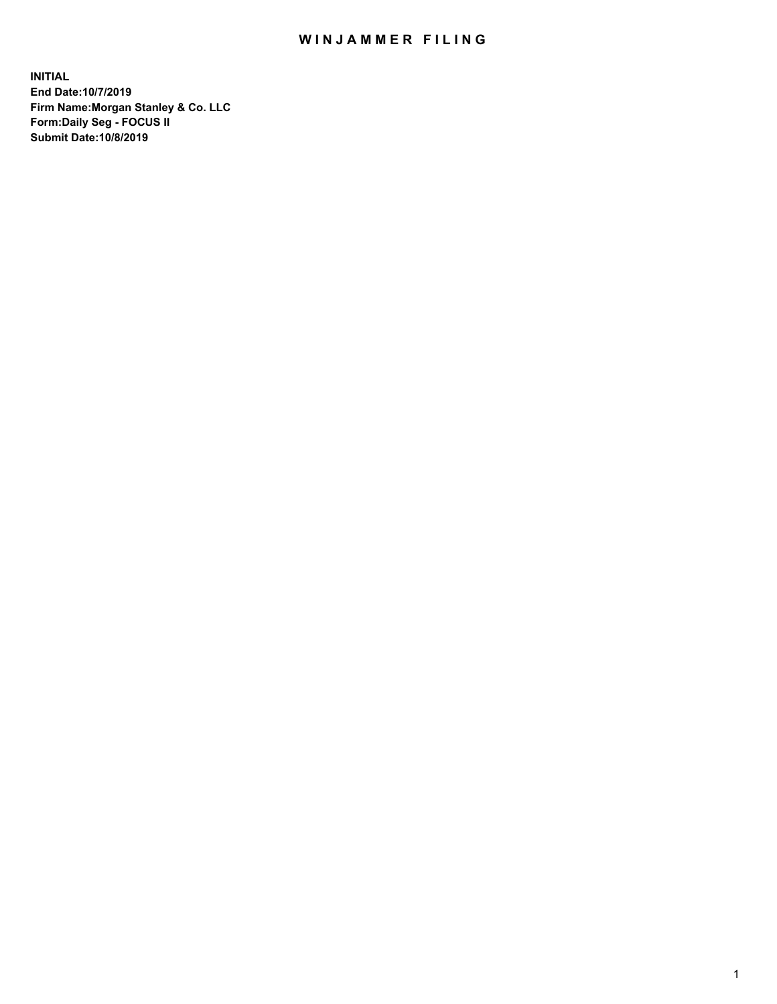## WIN JAMMER FILING

**INITIAL End Date:10/7/2019 Firm Name:Morgan Stanley & Co. LLC Form:Daily Seg - FOCUS II Submit Date:10/8/2019**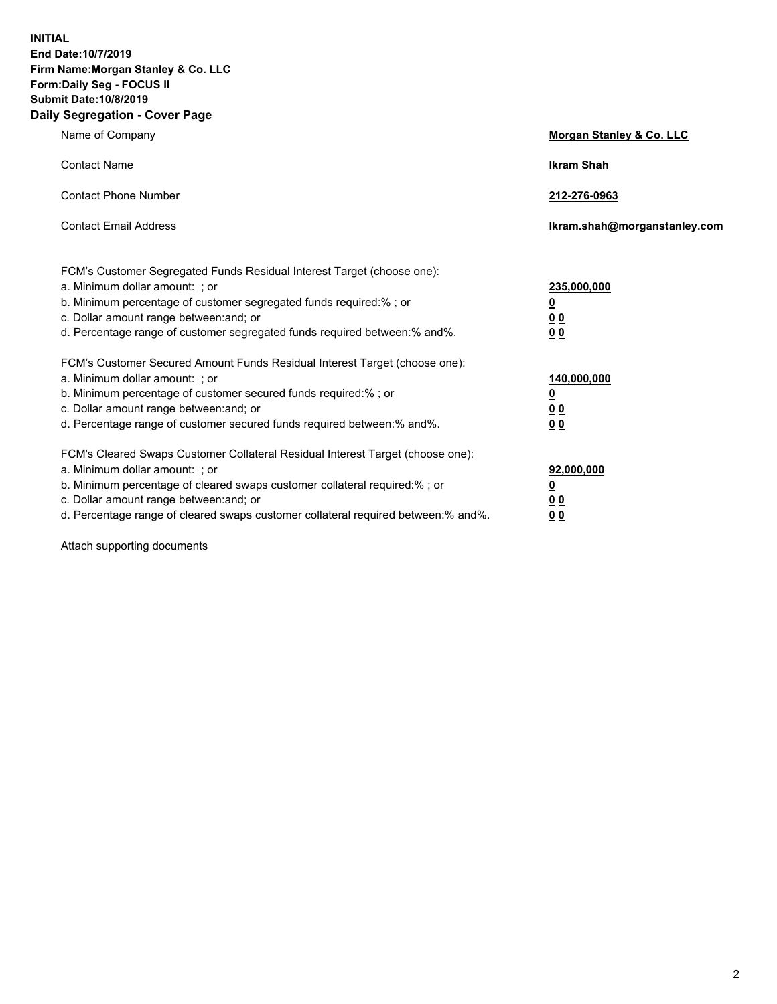**INITIAL End Date:10/7/2019 Firm Name:Morgan Stanley & Co. LLC Form:Daily Seg - FOCUS II Submit Date:10/8/2019 Daily Segregation - Cover Page**

| Name of Company                                                                                                                                                                                                                                                                                                                | Morgan Stanley & Co. LLC                               |
|--------------------------------------------------------------------------------------------------------------------------------------------------------------------------------------------------------------------------------------------------------------------------------------------------------------------------------|--------------------------------------------------------|
| <b>Contact Name</b>                                                                                                                                                                                                                                                                                                            | <b>Ikram Shah</b>                                      |
| <b>Contact Phone Number</b>                                                                                                                                                                                                                                                                                                    | 212-276-0963                                           |
| <b>Contact Email Address</b>                                                                                                                                                                                                                                                                                                   | lkram.shah@morganstanley.com                           |
| FCM's Customer Segregated Funds Residual Interest Target (choose one):<br>a. Minimum dollar amount: ; or<br>b. Minimum percentage of customer segregated funds required:% ; or<br>c. Dollar amount range between: and; or<br>d. Percentage range of customer segregated funds required between:% and%.                         | 235,000,000<br><u>0</u><br><u>0 0</u><br>0 Q           |
| FCM's Customer Secured Amount Funds Residual Interest Target (choose one):<br>a. Minimum dollar amount: ; or<br>b. Minimum percentage of customer secured funds required:%; or<br>c. Dollar amount range between: and; or<br>d. Percentage range of customer secured funds required between:% and%.                            | 140,000,000<br><u>0</u><br><u>00</u><br>0 <sub>0</sub> |
| FCM's Cleared Swaps Customer Collateral Residual Interest Target (choose one):<br>a. Minimum dollar amount: ; or<br>b. Minimum percentage of cleared swaps customer collateral required:% ; or<br>c. Dollar amount range between: and; or<br>d. Percentage range of cleared swaps customer collateral required between:% and%. | 92,000,000<br><u>0</u><br><u>00</u><br>0 <sup>0</sup>  |

Attach supporting documents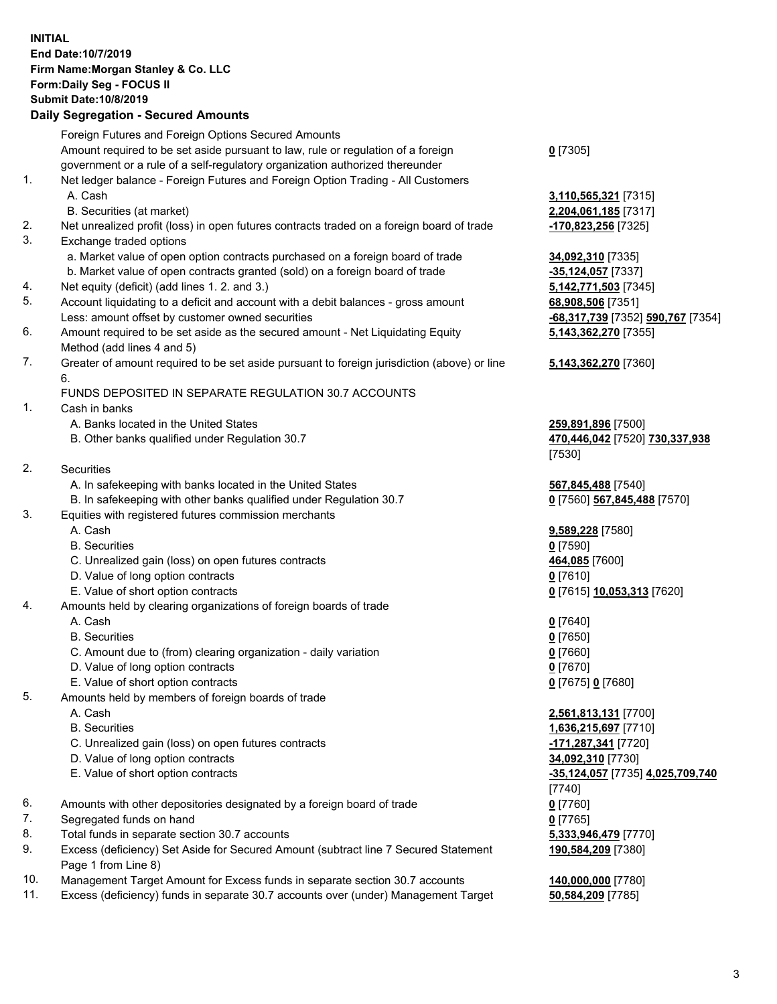## **INITIAL End Date:10/7/2019 Firm Name:Morgan Stanley & Co. LLC Form:Daily Seg - FOCUS II Submit Date:10/8/2019**

## **Daily Segregation - Secured Amounts**

|    | Foreign Futures and Foreign Options Secured Amounts                                         |                                             |
|----|---------------------------------------------------------------------------------------------|---------------------------------------------|
|    | Amount required to be set aside pursuant to law, rule or regulation of a foreign            | $0$ [7305]                                  |
|    | government or a rule of a self-regulatory organization authorized thereunder                |                                             |
| 1. | Net ledger balance - Foreign Futures and Foreign Option Trading - All Customers             |                                             |
|    | A. Cash                                                                                     | 3,110,565,321 [7315]                        |
|    | B. Securities (at market)                                                                   | 2,204,061,185 [7317]                        |
| 2. | Net unrealized profit (loss) in open futures contracts traded on a foreign board of trade   | -170,823,256 [7325]                         |
| 3. | Exchange traded options                                                                     |                                             |
|    | a. Market value of open option contracts purchased on a foreign board of trade              | 34,092,310 [7335]                           |
|    | b. Market value of open contracts granted (sold) on a foreign board of trade                | -35,124,057 [7337]                          |
| 4. | Net equity (deficit) (add lines 1. 2. and 3.)                                               | 5,142,771,503 [7345]                        |
| 5. | Account liquidating to a deficit and account with a debit balances - gross amount           | 68,908,506 [7351]                           |
|    | Less: amount offset by customer owned securities                                            | -68,317,739 [7352] 590,767 [7354]           |
| 6. | Amount required to be set aside as the secured amount - Net Liquidating Equity              | 5,143,362,270 [7355]                        |
|    | Method (add lines 4 and 5)                                                                  |                                             |
| 7. | Greater of amount required to be set aside pursuant to foreign jurisdiction (above) or line | 5,143,362,270 [7360]                        |
|    | 6.                                                                                          |                                             |
|    | FUNDS DEPOSITED IN SEPARATE REGULATION 30.7 ACCOUNTS                                        |                                             |
| 1. | Cash in banks                                                                               |                                             |
|    | A. Banks located in the United States                                                       | 259,891,896 [7500]                          |
|    | B. Other banks qualified under Regulation 30.7                                              | 470,446,042 [7520] 730,337,938              |
|    |                                                                                             | [7530]                                      |
| 2. | Securities                                                                                  |                                             |
|    | A. In safekeeping with banks located in the United States                                   | 567,845,488 [7540]                          |
|    | B. In safekeeping with other banks qualified under Regulation 30.7                          | 0 [7560] 567,845,488 [7570]                 |
| 3. | Equities with registered futures commission merchants                                       |                                             |
|    | A. Cash                                                                                     | 9,589,228 [7580]                            |
|    | <b>B.</b> Securities                                                                        | $0$ [7590]                                  |
|    | C. Unrealized gain (loss) on open futures contracts                                         | 464,085 [7600]                              |
|    | D. Value of long option contracts                                                           | $0$ [7610]                                  |
|    | E. Value of short option contracts                                                          | 0 [7615] 10,053,313 [7620]                  |
| 4. | Amounts held by clearing organizations of foreign boards of trade                           |                                             |
|    | A. Cash                                                                                     | $0$ [7640]                                  |
|    | <b>B.</b> Securities                                                                        | $0$ [7650]                                  |
|    | C. Amount due to (from) clearing organization - daily variation                             | $0$ [7660]                                  |
|    | D. Value of long option contracts                                                           | $0$ [7670]                                  |
|    | E. Value of short option contracts                                                          | 0 [7675] 0 [7680]                           |
| 5. | Amounts held by members of foreign boards of trade                                          |                                             |
|    | A. Cash                                                                                     | 2,561,813,131 [7700]                        |
|    | <b>B.</b> Securities                                                                        | 1,636,215,697 [7710]                        |
|    | C. Unrealized gain (loss) on open futures contracts                                         | -171,287,341 [7720]                         |
|    | D. Value of long option contracts                                                           | 34,092,310 [7730]                           |
|    | E. Value of short option contracts                                                          | -35,124,057 [7735] 4,025,709,740            |
|    |                                                                                             | [7740]                                      |
| 6. | Amounts with other depositories designated by a foreign board of trade                      | $0$ [7760]                                  |
| 7. | Segregated funds on hand                                                                    | $0$ [7765]                                  |
| 8. | Total funds in separate section 30.7 accounts                                               | 5,333,946,479 [7770]                        |
| 9. | Excess (deficiency) Set Aside for Secured Amount (subtract line 7 Secured Statement         | 190,584,209 [7380]                          |
|    | Page 1 from Line 8)                                                                         |                                             |
| 10 | et Torret Amount for Evenen fundo in concrete continue 20.7 concurries                      | $\overline{AB}$ and and $\overline{177001}$ |

- 10. Management Target Amount for Excess funds in separate section 30.7 accounts **140,000,000** [7780]
- 11. Excess (deficiency) funds in separate 30.7 accounts over (under) Management Target **50,584,209** [7785]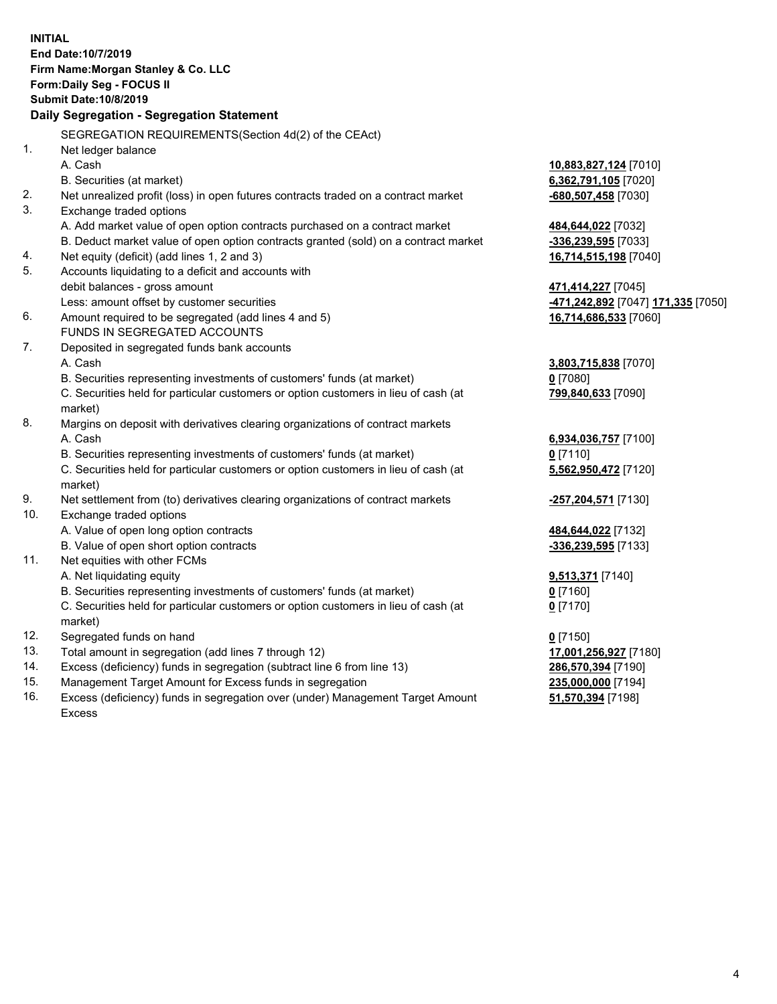|     | <b>INITIAL</b>                                                                                 |                                    |
|-----|------------------------------------------------------------------------------------------------|------------------------------------|
|     | End Date: 10/7/2019                                                                            |                                    |
|     | Firm Name: Morgan Stanley & Co. LLC                                                            |                                    |
|     | Form: Daily Seg - FOCUS II                                                                     |                                    |
|     | <b>Submit Date: 10/8/2019</b>                                                                  |                                    |
|     | Daily Segregation - Segregation Statement                                                      |                                    |
|     | SEGREGATION REQUIREMENTS(Section 4d(2) of the CEAct)                                           |                                    |
| 1.  | Net ledger balance                                                                             |                                    |
|     | A. Cash                                                                                        | 10,883,827,124 [7010]              |
|     | B. Securities (at market)                                                                      | 6,362,791,105 [7020]               |
| 2.  | Net unrealized profit (loss) in open futures contracts traded on a contract market             | -680,507,458 [7030]                |
| 3.  | Exchange traded options                                                                        |                                    |
|     | A. Add market value of open option contracts purchased on a contract market                    | 484,644,022 [7032]                 |
|     | B. Deduct market value of open option contracts granted (sold) on a contract market            | -336,239,595 [7033]                |
| 4.  | Net equity (deficit) (add lines 1, 2 and 3)                                                    | 16,714,515,198 [7040]              |
| 5.  | Accounts liquidating to a deficit and accounts with                                            |                                    |
|     | debit balances - gross amount                                                                  | 471,414,227 [7045]                 |
|     | Less: amount offset by customer securities                                                     | -471,242,892 [7047] 171,335 [7050] |
| 6.  | Amount required to be segregated (add lines 4 and 5)                                           | 16,714,686,533 [7060]              |
|     | FUNDS IN SEGREGATED ACCOUNTS                                                                   |                                    |
| 7.  | Deposited in segregated funds bank accounts                                                    |                                    |
|     | A. Cash                                                                                        | 3,803,715,838 [7070]               |
|     | B. Securities representing investments of customers' funds (at market)                         | $0$ [7080]                         |
|     | C. Securities held for particular customers or option customers in lieu of cash (at            | 799,840,633 [7090]                 |
|     | market)                                                                                        |                                    |
| 8.  | Margins on deposit with derivatives clearing organizations of contract markets                 |                                    |
|     | A. Cash                                                                                        | 6,934,036,757 [7100]               |
|     | B. Securities representing investments of customers' funds (at market)                         | $0$ [7110]                         |
|     | C. Securities held for particular customers or option customers in lieu of cash (at<br>market) | 5,562,950,472 [7120]               |
| 9.  | Net settlement from (to) derivatives clearing organizations of contract markets                | -257,204,571 [7130]                |
| 10. | Exchange traded options                                                                        |                                    |
|     | A. Value of open long option contracts                                                         | 484,644,022 [7132]                 |
|     | B. Value of open short option contracts                                                        | -336,239,595 [7133]                |
| 11. | Net equities with other FCMs                                                                   |                                    |
|     | A. Net liquidating equity                                                                      | 9,513,371 [7140]                   |
|     | B. Securities representing investments of customers' funds (at market)                         | $0$ [7160]                         |
|     | C. Securities held for particular customers or option customers in lieu of cash (at            | $0$ [7170]                         |
|     | market)                                                                                        |                                    |
| 12. | Segregated funds on hand                                                                       | $0$ [7150]                         |
| 13. | Total amount in segregation (add lines 7 through 12)                                           | 17,001,256,927 [7180]              |
| 14. | Excess (deficiency) funds in segregation (subtract line 6 from line 13)                        | 286,570,394 [7190]                 |
| 15. | Management Target Amount for Excess funds in segregation                                       | 235,000,000 [7194]                 |
| 16  | Exece (defigionar) fundo in cogregation aver (under) Management Terrat Amount                  | <b>E4 E70 204 [7400]</b>           |

16. Excess (deficiency) funds in segregation over (under) Management Target Amount Excess

**51,570,394** [7198]